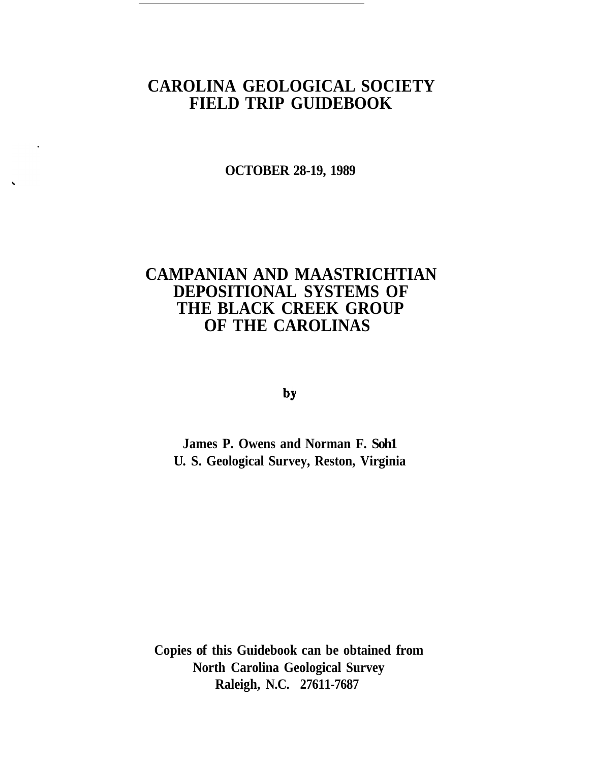# **CAROLINA GEOLOGICAL SOCIETY FIELD TRIP GUIDEBOOK**

**OCTOBER 28-19, 1989**

# **CAMPANIAN AND MAASTRICHTIAN DEPOSITIONAL SYSTEMS OF THE BLACK CREEK GROUP OF THE CAROLINAS**

by

**James P. Owens and Norman F. Soh1 U. S. Geological Survey, Reston, Virginia** 

**Copies of this Guidebook can be obtained from North Carolina Geological Survey Raleigh, N.C. 27611-7687**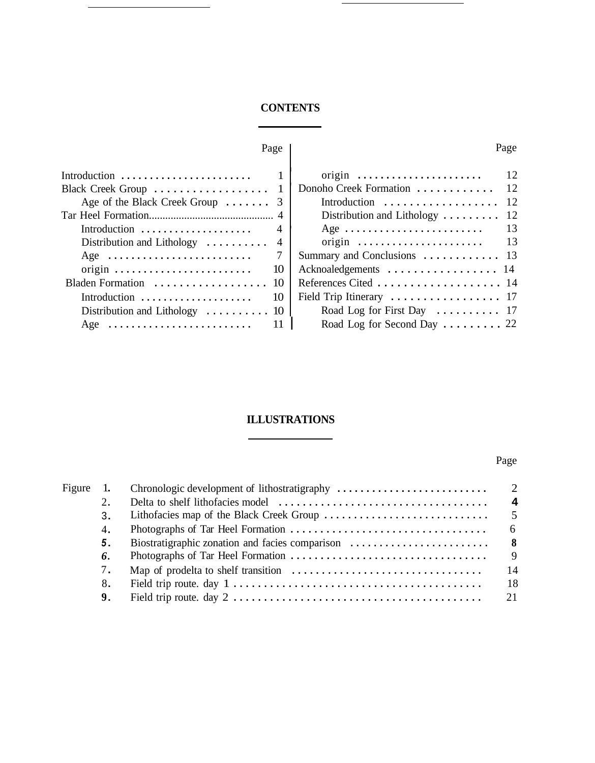## **CONTENTS**

÷,

Page

| Introduction $\ldots \ldots \ldots \ldots \ldots$         |    |
|-----------------------------------------------------------|----|
| Black Creek Group  1                                      |    |
| Age of the Black Creek Group  3                           |    |
|                                                           |    |
| Introduction                                              |    |
| Distribution and Lithology $\dots \dots \dots$ 4          |    |
| Age                                                       |    |
| $origin \ldots \ldots \ldots \ldots \ldots \ldots \ldots$ | 10 |
| Bladen Formation                                          | 10 |
| Introduction                                              | 10 |
| Distribution and Lithology $\dots \dots$                  | 10 |
| Age                                                       |    |
|                                                           |    |

| $origin \ldots \ldots \ldots \ldots \ldots \ldots$                  | 12 |
|---------------------------------------------------------------------|----|
| Donoho Creek Formation                                              | 12 |
| Introduction                                                        | 12 |
| Distribution and Lithology $\dots \dots$                            | 12 |
|                                                                     | 13 |
| $origin \ldots \ldots \ldots \ldots \ldots \ldots$                  | 13 |
| Summary and Conclusions  13                                         |    |
| Acknoaledgements  14                                                |    |
| References Cited  14                                                |    |
| Field Trip Itinerary $\ldots \ldots \ldots \ldots \ldots \ldots$ 17 |    |
| Road Log for First Day  17                                          |    |
| Road Log for Second Day $\ldots \ldots \ldots$ 22                   |    |

## **ILLUSTRATIONS**

I

# Page

| Figure<br>1. |  |
|--------------|--|
| 2.           |  |
| 3.           |  |
| 4.           |  |
| 5.           |  |
| 6.           |  |
| 7.           |  |
| 8.           |  |
| 9.           |  |

## Page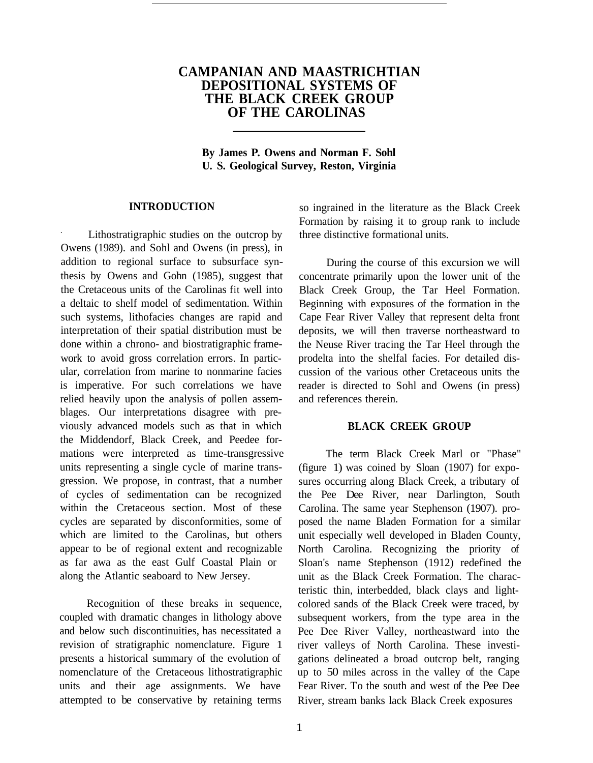## **CAMPANIAN AND MAASTRICHTIAN DEPOSITIONAL SYSTEMS OF THE BLACK CREEK GROUP OF THE CAROLINAS**

**By James P. Owens and Norman F. Sohl U. S. Geological Survey, Reston, Virginia** 

#### **INTRODUCTION**

. Lithostratigraphic studies on the outcrop by Owens (1989). and Sohl and Owens (in press), in addition to regional surface to subsurface synthesis by Owens and Gohn (1985), suggest that the Cretaceous units of the Carolinas fit well into a deltaic to shelf model of sedimentation. Within such systems, lithofacies changes are rapid and interpretation of their spatial distribution must be done within a chrono- and biostratigraphic framework to avoid gross correlation errors. In particular, correlation from marine to nonmarine facies is imperative. For such correlations we have relied heavily upon the analysis of pollen assemblages. Our interpretations disagree with previously advanced models such as that in which the Middendorf, Black Creek, and Peedee formations were interpreted as time-transgressive units representing a single cycle of marine transgression. We propose, in contrast, that a number of cycles of sedimentation can be recognized within the Cretaceous section. Most of these cycles are separated by disconformities, some of which are limited to the Carolinas, but others appear to be of regional extent and recognizable as far awa as the east Gulf Coastal Plain or along the Atlantic seaboard to New Jersey.

Recognition of these breaks in sequence, coupled with dramatic changes in lithology above and below such discontinuities, has necessitated a revision of stratigraphic nomenclature. Figure 1 presents a historical summary of the evolution of nomenclature of the Cretaceous lithostratigraphic units and their age assignments. We have attempted to be conservative by retaining terms

so ingrained in the literature as the Black Creek Formation by raising it to group rank to include three distinctive formational units.

During the course of this excursion we will concentrate primarily upon the lower unit of the Black Creek Group, the Tar Heel Formation. Beginning with exposures of the formation in the Cape Fear River Valley that represent delta front deposits, we will then traverse northeastward to the Neuse River tracing the Tar Heel through the prodelta into the shelfal facies. For detailed discussion of the various other Cretaceous units the reader is directed to Sohl and Owens (in press) and references therein.

### **BLACK CREEK GROUP**

The term Black Creek Marl or "Phase" (figure 1) was coined by Sloan (1907) for exposures occurring along Black Creek, a tributary of the Pee Dee River, near Darlington, South Carolina. The same year Stephenson (1907). proposed the name Bladen Formation for a similar unit especially well developed in Bladen County, North Carolina. Recognizing the priority of Sloan's name Stephenson (1912) redefined the unit as the Black Creek Formation. The characteristic thin, interbedded, black clays and lightcolored sands of the Black Creek were traced, by subsequent workers, from the type area in the Pee Dee River Valley, northeastward into the river valleys of North Carolina. These investigations delineated a broad outcrop belt, ranging up to 50 miles across in the valley of the Cape Fear River. To the south and west of the Pee Dee River, stream banks lack Black Creek exposures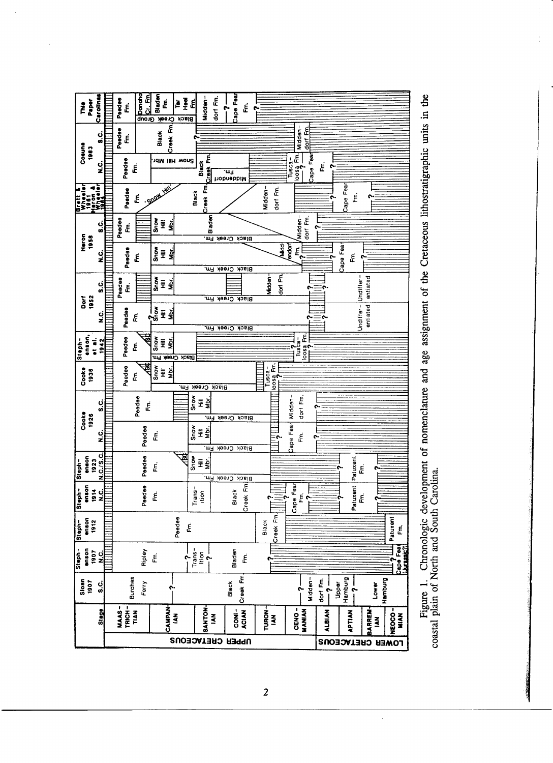

Figure 1. Chronologic development of nomenclature and age assignment of the Cretaceous lithostratigraphic units in the coastal plain of North and South Carolina.

 $\bar{z}$ 

 $\overline{\mathbf{c}}$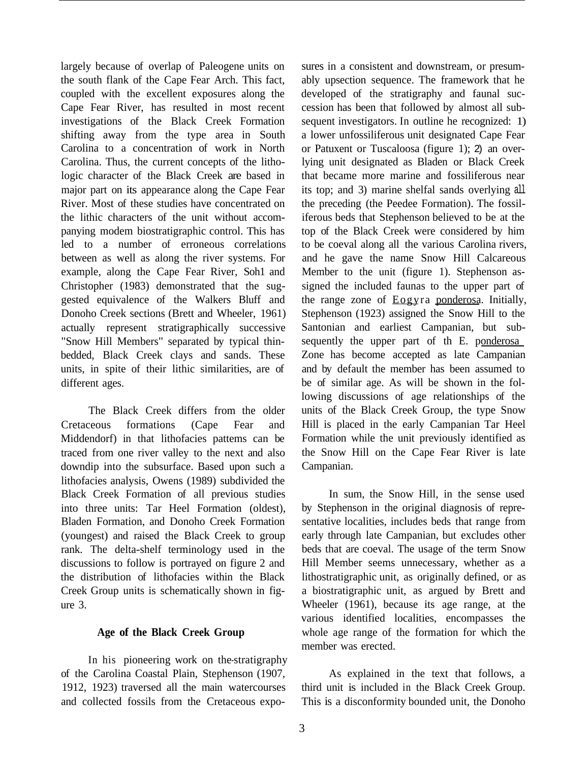largely because of overlap of Paleogene units on the south flank of the Cape Fear Arch. This fact, coupled with the excellent exposures along the Cape Fear River, has resulted in most recent investigations of the Black Creek Formation shifting away from the type area in South Carolina to a concentration of work in North Carolina. Thus, the current concepts of the lithologic character of the Black Creek are based in major part on its appearance along the Cape Fear River. Most of these studies have concentrated on the lithic characters of the unit without accompanying modem biostratigraphic control. This has led to a number of erroneous correlations between as well as along the river systems. For example, along the Cape Fear River, Soh1 and Christopher (1983) demonstrated that the suggested equivalence of the Walkers Bluff and Donoho Creek sections (Brett and Wheeler, 1961) actually represent stratigraphically successive "Snow Hill Members" separated by typical thinbedded, Black Creek clays and sands. These units, in spite of their lithic similarities, are of different ages.

The Black Creek differs from the older Cretaceous formations (Cape Fear and Middendorf) in that lithofacies pattems can be traced from one river valley to the next and also downdip into the subsurface. Based upon such a lithofacies analysis, Owens (1989) subdivided the Black Creek Formation of all previous studies into three units: Tar Heel Formation (oldest), Bladen Formation, and Donoho Creek Formation (youngest) and raised the Black Creek to group rank. The delta-shelf terminology used in the discussions to follow is portrayed on figure 2 and the distribution of lithofacies within the Black Creek Group units is schematically shown in figure 3.

## **Age of the Black Creek Group**

In his pioneering work on the-stratigraphy of the Carolina Coastal Plain, Stephenson (1907, 1912, 1923) traversed all the main watercourses and collected fossils from the Cretaceous exposures in a consistent and downstream, or presumably upsection sequence. The framework that he developed of the stratigraphy and faunal succession has been that followed by almost all subsequent investigators. In outline he recognized: 1) a lower unfossiliferous unit designated Cape Fear or Patuxent or Tuscaloosa (figure 1); 2) an overlying unit designated as Bladen or Black Creek that became more marine and fossiliferous near its top; and 3) marine shelfal sands overlying all the preceding (the Peedee Formation). The fossiliferous beds that Stephenson believed to be at the top of the Black Creek were considered by him to be coeval along all the various Carolina rivers, and he gave the name Snow Hill Calcareous Member to the unit (figure 1). Stephenson assigned the included faunas to the upper part of the range zone of Eogyra ponderosa. Initially, Stephenson (1923) assigned the Snow Hill to the Santonian and earliest Campanian, but subsequently the upper part of th E. ponderosa Zone has become accepted as late Campanian and by default the member has been assumed to be of similar age. As will be shown in the following discussions of age relationships of the units of the Black Creek Group, the type Snow Hill is placed in the early Campanian Tar Heel Formation while the unit previously identified as the Snow Hill on the Cape Fear River is late Campanian.

In sum, the Snow Hill, in the sense used by Stephenson in the original diagnosis of representative localities, includes beds that range from early through late Campanian, but excludes other beds that are coeval. The usage of the term Snow Hill Member seems unnecessary, whether as a lithostratigraphic unit, as originally defined, or as a biostratigraphic unit, as argued by Brett and Wheeler (1961), because its age range, at the various identified localities, encompasses the whole age range of the formation for which the member was erected.

As explained in the text that follows, a third unit is included in the Black Creek Group. This is a disconformity bounded unit, the Donoho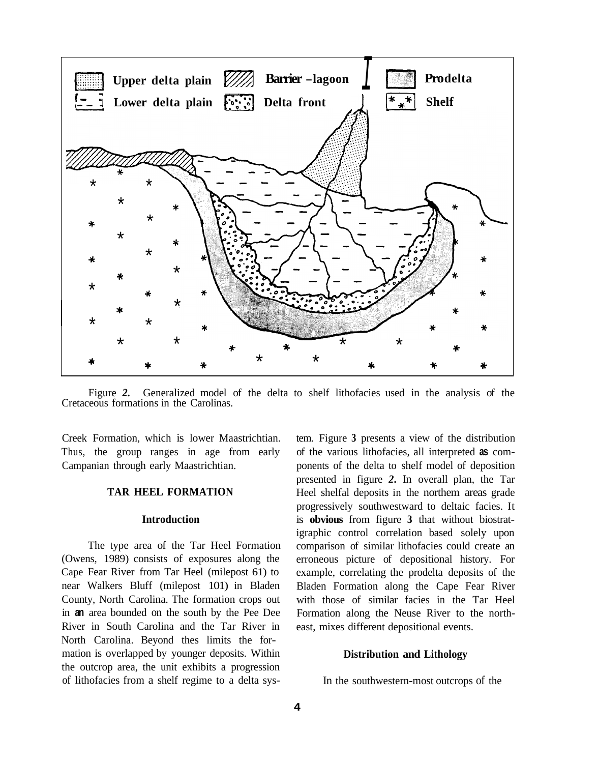

Figure *2.* Generalized model of the delta to shelf lithofacies used in the analysis of the Cretaceous formations in the Carolinas.

Creek Formation, which is lower Maastrichtian. Thus, the group ranges in age from early Campanian through early Maastrichtian.

#### **TAR HEEL FORMATION**

#### **Introduction**

The type area of the Tar Heel Formation (Owens, 1989) consists of exposures along the Cape Fear River from Tar Heel (milepost 61) to near Walkers Bluff (milepost 101) in Bladen County, North Carolina. The formation crops out in **an** area bounded on the south by the Pee Dee River in South Carolina and the Tar River in North Carolina. Beyond thes limits the formation is overlapped by younger deposits. Within the outcrop area, the unit exhibits a progression of lithofacies from a shelf regime to a delta system. Figure **3** presents a view of the distribution of the various lithofacies, all interpreted **as** components of the delta to shelf model of deposition presented in figure *2.* In overall plan, the Tar Heel shelfal deposits in the northem areas grade progressively southwestward to deltaic facies. It is **obvious** from figure **3** that without biostratigraphic control correlation based solely upon comparison of similar lithofacies could create an erroneous picture of depositional history. For example, correlating the prodelta deposits of the Bladen Formation along the Cape Fear River with those of similar facies in the Tar Heel Formation along the Neuse River to the northeast, mixes different depositional events.

#### **Distribution and Lithology**

In the southwestern-most outcrops of the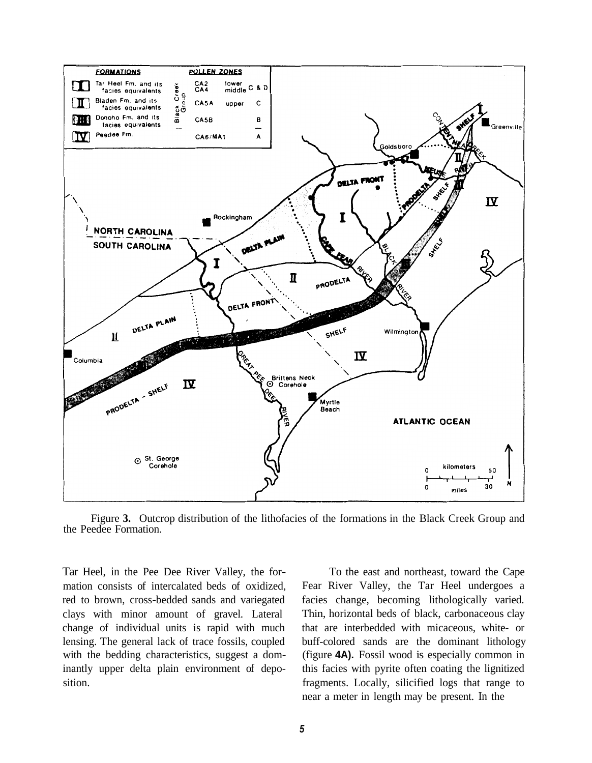

Figure **3.** Outcrop distribution of the lithofacies of the formations in the Black Creek Group and the Peedee Formation.

Tar Heel, in the Pee Dee River Valley, the formation consists of intercalated beds of oxidized, red to brown, cross-bedded sands and variegated clays with minor amount of gravel. Lateral change of individual units is rapid with much lensing. The general lack of trace fossils, coupled with the bedding characteristics, suggest a dominantly upper delta plain environment of deposition.

To the east and northeast, toward the Cape Fear River Valley, the Tar Heel undergoes a facies change, becoming lithologically varied. Thin, horizontal beds of black, carbonaceous clay that are interbedded with micaceous, white- or buff-colored sands are the dominant lithology (figure **4A).** Fossil wood is especially common in this facies with pyrite often coating the lignitized fragments. Locally, silicified logs that range to near a meter in length may be present. In the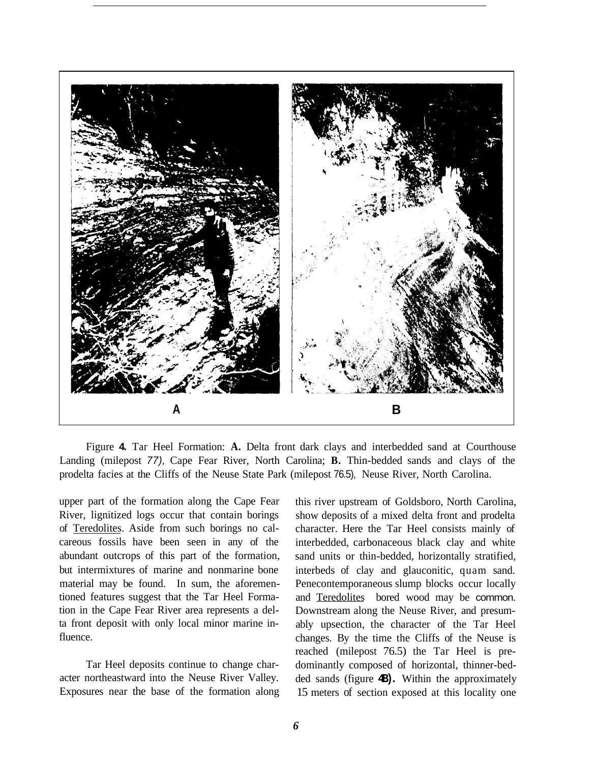

Figure **4.** Tar Heel Formation: **A.** Delta front dark clays and interbedded sand at Courthouse Landing (milepost *77),* Cape Fear River, North Carolina; **B.** Thin-bedded sands and clays of the prodelta facies at the Cliffs of the Neuse State Park (milepost 76.5), Neuse River, North Carolina.

upper part of the formation along the Cape Fear River, lignitized logs occur that contain borings of Teredolites. Aside from such borings no calcareous fossils have been seen in any of the abundant outcrops of this part of the formation, but intermixtures of marine and nonmarine bone material may be found. In sum, the aforementioned features suggest that the Tar Heel Formation in the Cape Fear River area represents a delta front deposit with only local minor marine influence.

Tar Heel deposits continue to change character northeastward into the Neuse River Valley. Exposures near the base of the formation along

this river upstream of Goldsboro, North Carolina, show deposits of a mixed delta front and prodelta character. Here the Tar Heel consists mainly of interbedded, carbonaceous black clay and white sand units or thin-bedded, horizontally stratified, interbeds of clay and glauconitic, quam sand. Penecontemporaneous slump blocks occur locally and Teredolites bored wood may be common. Downstream along the Neuse River, and presumably upsection, the character of the Tar Heel changes. By the time the Cliffs of the Neuse is reached (milepost 76.5) the Tar Heel is predominantly composed of horizontal, thinner-bedded sands (figure **4B).** Within the approximately 15 meters of section exposed at this locality one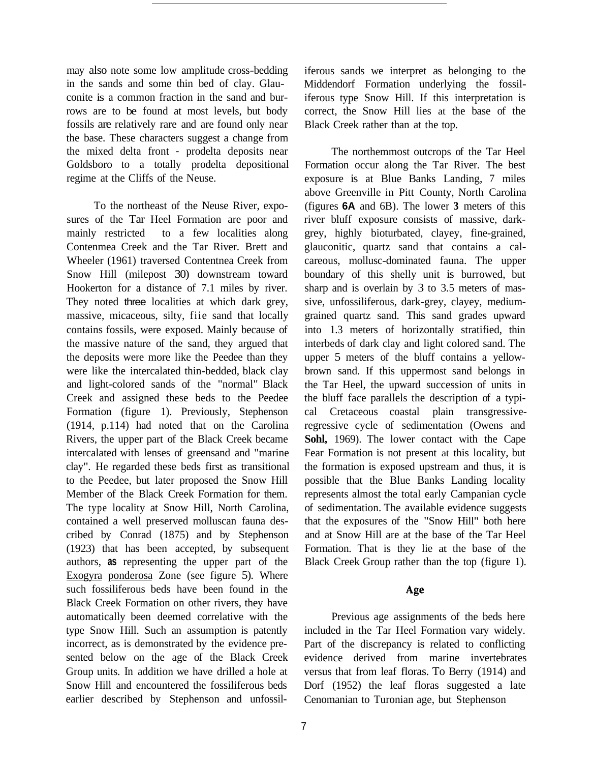may also note some low amplitude cross-bedding in the sands and some thin bed of clay. Glauconite is a common fraction in the sand and burrows are to be found at most levels, but body fossils are relatively rare and are found only near the base. These characters suggest a change from the mixed delta front - prodelta deposits near Goldsboro to a totally prodelta depositional regime at the Cliffs of the Neuse.

To the northeast of the Neuse River, exposures of the Tar Heel Formation are poor and mainly restricted to a few localities along Contenmea Creek and the Tar River. Brett and Wheeler (1961) traversed Contentnea Creek from Snow Hill (milepost 30) downstream toward Hookerton for a distance of 7.1 miles by river. They noted three localities at which dark grey, massive, micaceous, silty, fiie sand that locally contains fossils, were exposed. Mainly because of the massive nature of the sand, they argued that the deposits were more like the Peedee than they were like the intercalated thin-bedded, black clay and light-colored sands of the "normal" Black Creek and assigned these beds to the Peedee Formation (figure 1). Previously, Stephenson (1914, p.114) had noted that on the Carolina Rivers, the upper part of the Black Creek became intercalated with lenses of greensand and "marine clay". He regarded these beds first as transitional to the Peedee, but later proposed the Snow Hill Member of the Black Creek Formation for them. The type locality at Snow Hill, North Carolina, contained a well preserved molluscan fauna described by Conrad (1875) and by Stephenson (1923) that has been accepted, by subsequent authors, **as** representing the upper part of the Exogyra ponderosa Zone (see figure 5). Where such fossiliferous beds have been found in the Black Creek Formation on other rivers, they have automatically been deemed correlative with the type Snow Hill. Such an assumption is patently incorrect, as is demonstrated by the evidence presented below on the age of the Black Creek Group units. In addition we have drilled a hole at Snow Hill and encountered the fossiliferous beds earlier described by Stephenson and unfossiliferous sands we interpret as belonging to the Middendorf Formation underlying the fossiliferous type Snow Hill. If this interpretation is correct, the Snow Hill lies at the base of the Black Creek rather than at the top.

The northemmost outcrops of the Tar Heel Formation occur along the Tar River. The best exposure is at Blue Banks Landing, 7 miles above Greenville in Pitt County, North Carolina (figures **6A** and 6B). The lower **3** meters of this river bluff exposure consists of massive, darkgrey, highly bioturbated, clayey, fine-grained, glauconitic, quartz sand that contains a calcareous, mollusc-dominated fauna. The upper boundary of this shelly unit is burrowed, but sharp and is overlain by 3 to 3.5 meters of massive, unfossiliferous, dark-grey, clayey, mediumgrained quartz sand. This sand grades upward into 1.3 meters of horizontally stratified, thin interbeds of dark clay and light colored sand. The upper 5 meters of the bluff contains a yellowbrown sand. If this uppermost sand belongs in the Tar Heel, the upward succession of units in the bluff face parallels the description of a typical Cretaceous coastal plain transgressiveregressive cycle of sedimentation (Owens and **Sohl,** 1969). The lower contact with the Cape Fear Formation is not present at this locality, but the formation is exposed upstream and thus, it is possible that the Blue Banks Landing locality represents almost the total early Campanian cycle of sedimentation. The available evidence suggests that the exposures of the "Snow Hill" both here and at Snow Hill are at the base of the Tar Heel Formation. That is they lie at the base of the Black Creek Group rather than the top (figure 1).

## Age

Previous age assignments of the beds here included in the Tar Heel Formation vary widely. Part of the discrepancy is related to conflicting evidence derived from marine invertebrates versus that from leaf floras. To Berry (1914) and Dorf (1952) the leaf floras suggested a late Cenomanian to Turonian age, but Stephenson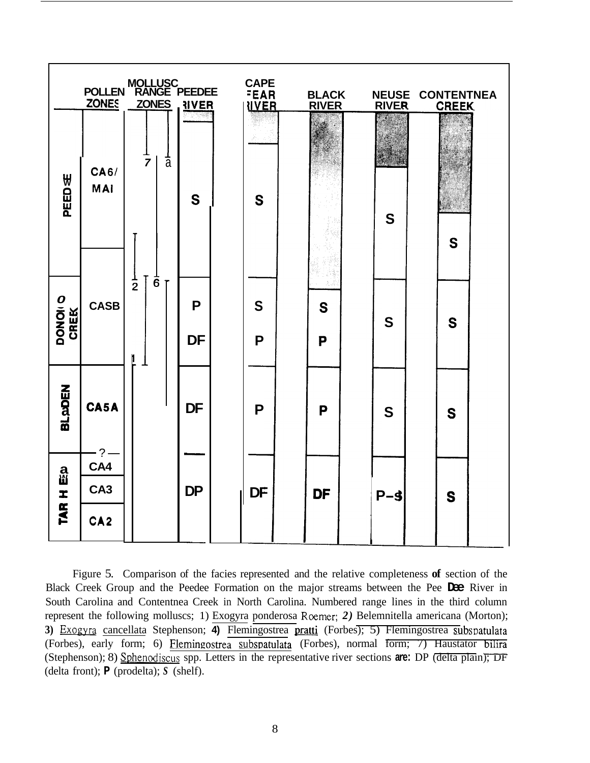|                              |                                           | MOLLUSC<br>POLLEN RANGE PEEDEE        | POSSE          | <b>CAPE</b><br><b>FEAR</b><br><b>NVER</b> | <b>BLACK</b><br><b>RIVER</b> | <b>NEUSE CONTENTNEA</b><br><b>RIVER</b> | <b>CREEK</b> |
|------------------------------|-------------------------------------------|---------------------------------------|----------------|-------------------------------------------|------------------------------|-----------------------------------------|--------------|
| PEED∉                        | <b>CA6/</b><br><b>MAI</b>                 | $\frac{1}{a}$<br>$\overline{7}$       | S              | S                                         |                              | S                                       | S            |
| DONOI O<br>CREK              | <b>CASB</b>                               | $\overline{6}$<br>$\overline{2}$<br>l | P<br><b>DF</b> | S<br>P                                    | S<br>P                       | S                                       | S            |
| <b>BLADEN</b>                | CA5A<br>?                                 |                                       | <b>DF</b>      | P                                         | P                            | S                                       | S            |
| ล<br><b>เ</b> มื<br>I<br>TAR | CA4<br>CA <sub>3</sub><br>CA <sub>2</sub> |                                       | <b>DP</b>      | <b>DF</b>                                 | <b>DF</b>                    | $P - S$                                 | S            |

Figure 5. Comparison of the facies represented and the relative completeness **of** section of the Black Creek Group and the Peedee Formation on the major streams between the Pee **Dee** River in South Carolina and Contentnea Creek in North Carolina. Numbered range lines in the third column represent the following molluscs; 1) Exogyra ponderosa Roemer; *2)* Belemnitella americana (Morton); 3) Exogyra cancellata Stephenson; 4) Flemingostrea pratti (Forbes); 5) Flemingostrea subspatulata (Forbes), early form; 6) Flemingostrea subspatulata (Forbes), normal form; 7) Haustator bilira (Stephenson); 8) Sphenodiscus spp. Letters in the representative river sections **are:** DP (delta plain); DF (delta front); **P** (prodelta); *S* (shelf). ver in<br>plumn<br>rton);<br>tulata<br>bilira<br><del>bilira</del><br><del>J; DF</del>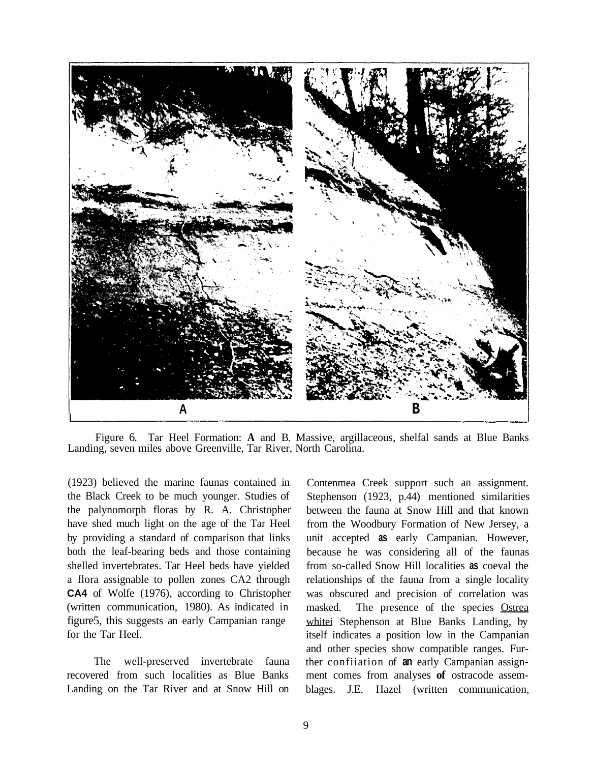

Landing, seven miles above Greenville, Tar River, North Carolina. Figure 6. Tar Heel Formation: **A** and B. Massive, argillaceous, shelfal sands at Blue Banks

(1923) believed the marine faunas contained in the Black Creek to be much younger. Studies of the palynomorph floras by R. A. Christopher have shed much light on the age of the Tar Heel by providing a standard of comparison that links both the leaf-bearing beds and those containing shelled invertebrates. Tar Heel beds have yielded a flora assignable to pollen zones CA2 through **CA4** of Wolfe (1976), according to Christopher (written communication, 1980). As indicated in figure5, this suggests an early Campanian range for the Tar Heel.

The well-preserved invertebrate fauna recovered from such localities as Blue Banks Landing on the Tar River and at Snow Hill on

Contenmea Creek support such an assignment. Stephenson (1923, p.44) mentioned similarities between the fauna at Snow Hill and that known from the Woodbury Formation of New Jersey, a unit accepted **as** early Campanian. However, because he was considering all of the faunas from so-called Snow Hill localities **as** coeval the relationships of the fauna from a single locality was obscured and precision of correlation was masked. The presence of the species Ostrea whitei Stephenson at Blue Banks Landing, by itself indicates a position low in the Campanian and other species show compatible ranges. Further confiiation of **an** early Campanian assignment comes from analyses **of** ostracode assemblages. J.E. Hazel (written communication,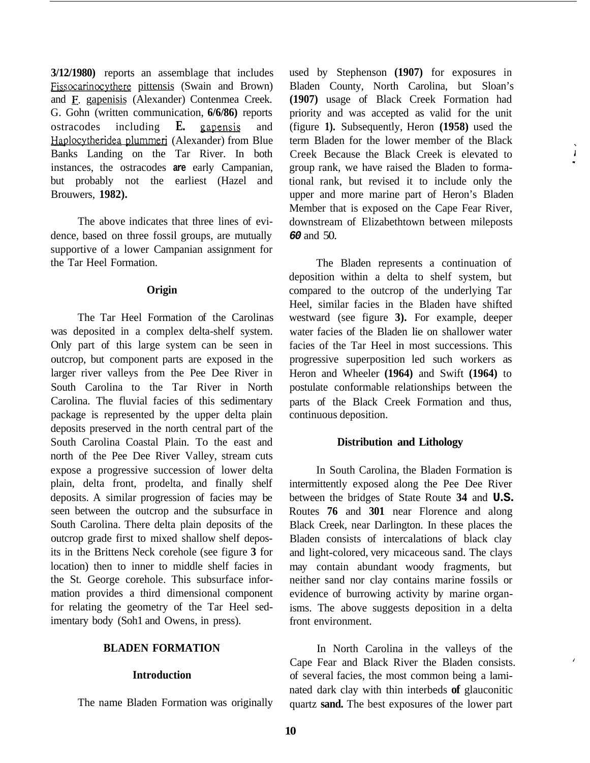**3/12/1980)** reports an assemblage that includes Fissocarinocythere pittensis (Swain and Brown) and **E.** gapenisis (Alexander) Contenmea Creek. G. Gohn (written communication, **6/6/86)** reports ostracodes including **E.** gapensis and Haplocvtheridea plummeri (Alexander) from Blue Banks Landing on the Tar River. In both instances, the ostracodes **are** early Campanian, but probably not the earliest (Hazel and Brouwers, **1982).** 

The above indicates that three lines of evidence, based on three fossil groups, are mutually supportive of a lower Campanian assignment for the Tar Heel Formation.

#### **Origin**

The Tar Heel Formation of the Carolinas was deposited in a complex delta-shelf system. Only part of this large system can be seen in outcrop, but component parts are exposed in the larger river valleys from the Pee Dee River in South Carolina to the Tar River in North Carolina. The fluvial facies of this sedimentary package is represented by the upper delta plain deposits preserved in the north central part of the South Carolina Coastal Plain. To the east and north of the Pee Dee River Valley, stream cuts expose a progressive succession of lower delta plain, delta front, prodelta, and finally shelf deposits. A similar progression of facies may be seen between the outcrop and the subsurface in South Carolina. There delta plain deposits of the outcrop grade first to mixed shallow shelf deposits in the Brittens Neck corehole (see figure **3** for location) then to inner to middle shelf facies in the St. George corehole. This subsurface information provides a third dimensional component for relating the geometry of the Tar Heel sedimentary body (Soh1 and Owens, in press).

## **BLADEN FORMATION**

#### **Introduction**

The name Bladen Formation was originally

used by Stephenson **(1907)** for exposures in Bladen County, North Carolina, but Sloan's **(1907)** usage of Black Creek Formation had priority and was accepted as valid for the unit (figure **1).** Subsequently, Heron **(1958)** used the term Bladen for the lower member of the Black Creek Because the Black Creek is elevated to group rank, we have raised the Bladen to formational rank, but revised it to include only the upper and more marine part of Heron's Bladen Member that is exposed on the Cape Fear River, downstream of Elizabethtown between mileposts *60* and 50.

 $\mathbf{I}$ 

The Bladen represents a continuation of deposition within a delta to shelf system, but compared to the outcrop of the underlying Tar Heel, similar facies in the Bladen have shifted westward (see figure **3).** For example, deeper water facies of the Bladen lie on shallower water facies of the Tar Heel in most successions. This progressive superposition led such workers as Heron and Wheeler **(1964)** and Swift **(1964)** to postulate conformable relationships between the parts of the Black Creek Formation and thus, continuous deposition.

#### **Distribution and Lithology**

In South Carolina, the Bladen Formation is intermittently exposed along the Pee Dee River between the bridges of State Route **34** and **U.S.**  Routes **76** and **301** near Florence and along Black Creek, near Darlington. In these places the Bladen consists of intercalations of black clay and light-colored, very micaceous sand. The clays may contain abundant woody fragments, but neither sand nor clay contains marine fossils or evidence of burrowing activity by marine organisms. The above suggests deposition in a delta front environment.

In North Carolina in the valleys of the Cape Fear and Black River the Bladen consists. of several facies, the most common being a laminated dark clay with thin interbeds **of** glauconitic quartz **sand.** The best exposures of the lower part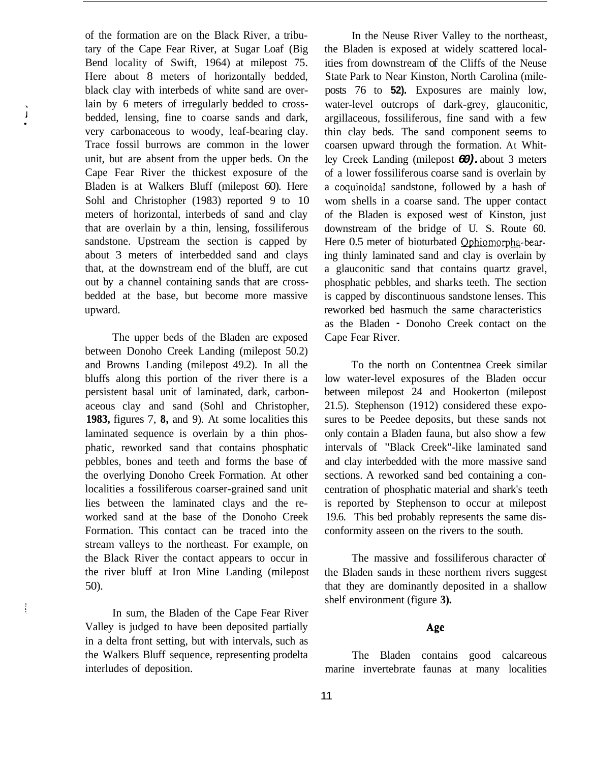of the formation are on the Black River, a tributary of the Cape Fear River, at Sugar Loaf (Big Bend locality of Swift, 1964) at milepost 75. Here about 8 meters of horizontally bedded, black clay with interbeds of white sand are overlain by 6 meters of irregularly bedded to crossbedded, lensing, fine to coarse sands and dark, very carbonaceous to woody, leaf-bearing clay. Trace fossil burrows are common in the lower unit, but are absent from the upper beds. On the Cape Fear River the thickest exposure of the Bladen is at Walkers Bluff (milepost 60). Here Sohl and Christopher (1983) reported 9 to 10 meters of horizontal, interbeds of sand and clay that are overlain by a thin, lensing, fossiliferous sandstone. Upstream the section is capped by about 3 meters of interbedded sand and clays that, at the downstream end of the bluff, are cut out by a channel containing sands that are crossbedded at the base, but become more massive upward.

 $\mathbf{j}$ 

The upper beds of the Bladen are exposed between Donoho Creek Landing (milepost 50.2) and Browns Landing (milepost 49.2). In all the bluffs along this portion of the river there is a persistent basal unit of laminated, dark, carbonaceous clay and sand (Sohl and Christopher, **1983,** figures 7, **8,** and 9). At some localities this laminated sequence is overlain by a thin phosphatic, reworked sand that contains phosphatic pebbles, bones and teeth and forms the base of the overlying Donoho Creek Formation. At other localities a fossiliferous coarser-grained sand unit lies between the laminated clays and the reworked sand at the base of the Donoho Creek Formation. This contact can be traced into the stream valleys to the northeast. For example, on the Black River the contact appears to occur in the river bluff at Iron Mine Landing (milepost 50).

In sum, the Bladen of the Cape Fear River Valley is judged to have been deposited partially in a delta front setting, but with intervals, such as the Walkers Bluff sequence, representing prodelta interludes of deposition.

In the Neuse River Valley to the northeast, the Bladen is exposed at widely scattered localities from downstream of the Cliffs of the Neuse State Park to Near Kinston, North Carolina (mileposts 76 to **52).** Exposures are mainly low, water-level outcrops of dark-grey, glauconitic, argillaceous, fossiliferous, fine sand with a few thin clay beds. The sand component seems to coarsen upward through the formation. At Whitley Creek Landing (milepost *60).* about 3 meters of a lower fossiliferous coarse sand is overlain by a coquinoidal sandstone, followed by a hash of wom shells in a coarse sand. The upper contact of the Bladen is exposed west of Kinston, just downstream of the bridge of U. S. Route 60. Here 0.5 meter of bioturbated Ophiomorpha-bearing thinly laminated sand and clay is overlain by a glauconitic sand that contains quartz gravel, phosphatic pebbles, and sharks teeth. The section is capped by discontinuous sandstone lenses. This reworked bed hasmuch the same characteristics as the Bladen - Donoho Creek contact on the Cape Fear River.

To the north on Contentnea Creek similar low water-level exposures of the Bladen occur between milepost 24 and Hookerton (milepost 21.5). Stephenson (1912) considered these exposures to be Peedee deposits, but these sands not only contain a Bladen fauna, but also show a few intervals of "Black Creek"-like laminated sand and clay interbedded with the more massive sand sections. A reworked sand bed containing a concentration of phosphatic material and shark's teeth is reported by Stephenson to occur at milepost 19.6. This bed probably represents the same disconformity asseen on the rivers to the south.

The massive and fossiliferous character of the Bladen sands in these northem rivers suggest that they are dominantly deposited in a shallow shelf environment (figure **3).** 

## Age

The Bladen contains good calcareous marine invertebrate faunas at many localities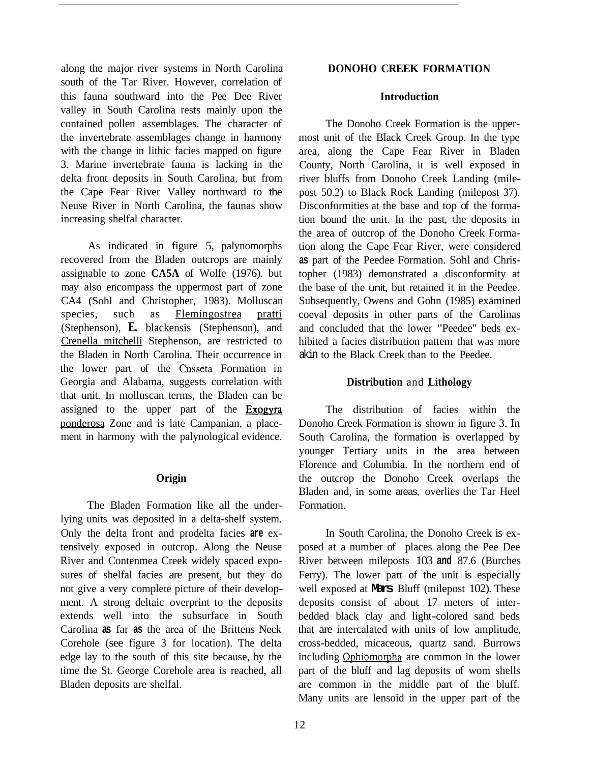along the major river systems in North Carolina south of the Tar River. However, correlation of this fauna southward into the Pee Dee River valley in South Carolina rests mainly upon the contained pollen assemblages. The character of the invertebrate assemblages change in harmony with the change in lithic facies mapped on figure 3. Marine invertebrate fauna is lacking in the delta front deposits in South Carolina, but from the Cape Fear River Valley northward to the Neuse River in North Carolina, the faunas show increasing shelfal character.

As indicated in figure 5, palynomorphs recovered from the Bladen outcrops are mainly assignable to zone **CA5A** of Wolfe (1976). but may also encompass the uppermost part of zone CA4 (Sohl and Christopher, 1983). Molluscan species, such as Flemingostrea pratti (Stephenson), **E.** blackensis (Stephenson), and Crenella mitchelli Stephenson, are restricted to the Bladen in North Carolina. Their occurrence in the lower part of the Cusseta Formation in Georgia and Alabama, suggests correlation with that unit. In molluscan terms, the Bladen can be assigned to the upper part of the **Exogyra** ponderosa Zone and is late Campanian, a placement in harmony with the palynological evidence.

## **Origin**

The Bladen Formation like all the underlying units was deposited in a delta-shelf system. Only the delta front and prodelta facies **are** extensively exposed in outcrop. Along the Neuse River and Contenmea Creek widely spaced exposures of shelfal facies are present, but they do not give a very complete picture of their development. A strong deltaic overprint to the deposits extends well into the subsurface in South Carolina **as** far **as** the area of the Brittens Neck Corehole (see figure 3 for location). The delta edge lay to the south of this site because, by the time the St. George Corehole area is reached, all Bladen deposits are shelfal.

## **DONOHO CREEK FORMATION**

#### **Introduction**

The Donoho Creek Formation is the uppermost unit of the Black Creek Group. In the type area, along the Cape Fear River in Bladen County, North Carolina, it is well exposed in river bluffs from Donoho Creek Landing (milepost 50.2) to Black Rock Landing (milepost 37). Disconformities at the base and top of the formation bound the unit. In the past, the deposits in the area of outcrop of the Donoho Creek Formation along the Cape Fear River, were considered **as** part of the Peedee Formation. Sohl and Christopher (1983) demonstrated a disconformity at the base of the unit, but retained it in the Peedee. Subsequently, Owens and Gohn (1985) examined coeval deposits in other parts of the Carolinas and concluded that the lower "Peedee" beds exhibited a facies distribution pattem that was more akin to the Black Creek than to the Peedee.

### **Distribution** and **Lithology**

The distribution of facies within the Donoho Creek Formation is shown in figure 3. In South Carolina, the formation is overlapped by younger Tertiary units in the area between Florence and Columbia. In the northern end of the outcrop the Donoho Creek overlaps the Bladen and, in some areas, overlies the Tar Heel Formation.

In South Carolina, the Donoho Creek is exposed at a number of places along the Pee Dee River between mileposts 103 **and** 87.6 (Burches Ferry). The lower part of the unit is especially well exposed at **Mars** Bluff (milepost 102). These deposits consist of about 17 meters of interbedded black clay and light-colored sand beds that are intercalated with units of low amplitude, cross-bedded, micaceous, quartz sand. Burrows including Ophiomorpha are common in the lower part of the bluff and lag deposits of wom shells are common in the middle part of the bluff. Many units are lensoid in the upper part of the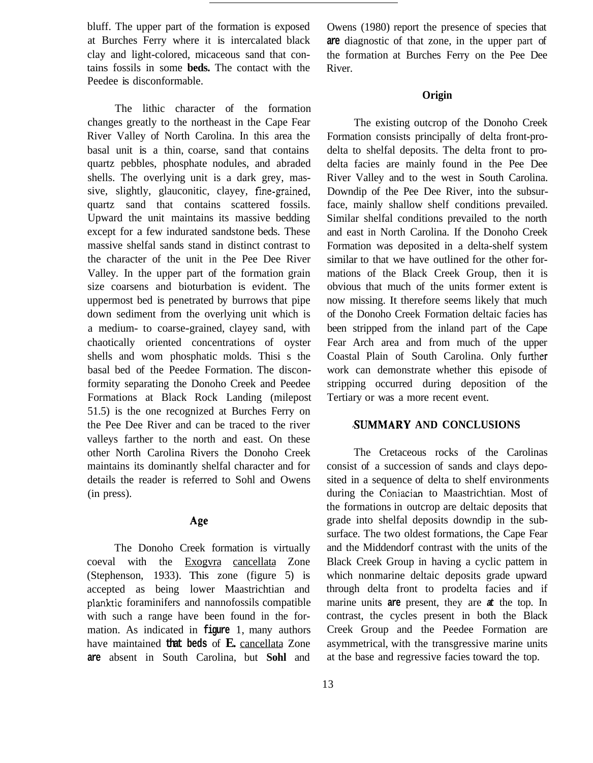bluff. The upper part of the formation is exposed at Burches Ferry where it is intercalated black clay and light-colored, micaceous sand that contains fossils in some **beds.** The contact with the Peedee is disconformable.

The lithic character of the formation changes greatly to the northeast in the Cape Fear River Valley of North Carolina. In this area the basal unit is a thin, coarse, sand that contains quartz pebbles, phosphate nodules, and abraded shells. The overlying unit is a dark grey, massive, slightly, glauconitic, clayey, fine-grained, quartz sand that contains scattered fossils. Upward the unit maintains its massive bedding except for a few indurated sandstone beds. These massive shelfal sands stand in distinct contrast to the character of the unit in the Pee Dee River Valley. In the upper part of the formation grain size coarsens and bioturbation is evident. The uppermost bed is penetrated by burrows that pipe down sediment from the overlying unit which is a medium- to coarse-grained, clayey sand, with chaotically oriented concentrations of oyster shells and wom phosphatic molds. Thisi s the basal bed of the Peedee Formation. The disconformity separating the Donoho Creek and Peedee Formations at Black Rock Landing (milepost 51.5) is the one recognized at Burches Ferry on the Pee Dee River and can be traced to the river valleys farther to the north and east. On these other North Carolina Rivers the Donoho Creek maintains its dominantly shelfal character and for details the reader is referred to Sohl and Owens (in press).

## Age

The Donoho Creek formation is virtually coeval with the Exogvra cancellata Zone (Stephenson, 1933). This zone (figure 5) is accepted as being lower Maastrichtian and planktic foraminifers and nannofossils compatible with such a range have been found in the formation. As indicated in **figure** 1, many authors have maintained **that beds** of **E.** cancellata Zone **are** absent in South Carolina, but **Sohl** and

Owens (1980) report the presence of species that **are** diagnostic of that zone, in the upper part of the formation at Burches Ferry on the Pee Dee River.

## **Origin**

The existing outcrop of the Donoho Creek Formation consists principally of delta front-prodelta to shelfal deposits. The delta front to prodelta facies are mainly found in the Pee Dee River Valley and to the west in South Carolina. Downdip of the Pee Dee River, into the subsurface, mainly shallow shelf conditions prevailed. Similar shelfal conditions prevailed to the north and east in North Carolina. If the Donoho Creek Formation was deposited in a delta-shelf system similar to that we have outlined for the other formations of the Black Creek Group, then it is obvious that much of the units former extent is now missing. It therefore seems likely that much of the Donoho Creek Formation deltaic facies has been stripped from the inland part of the Cape Fear Arch area and from much of the upper Coastal Plain of South Carolina. Only further work can demonstrate whether this episode of stripping occurred during deposition of the Tertiary or was a more recent event.

#### **SUMMARY AND CONCLUSIONS**

The Cretaceous rocks of the Carolinas consist of a succession of sands and clays deposited in a sequence of delta to shelf environments during the Coniacian to Maastrichtian. Most of the formations in outcrop are deltaic deposits that grade into shelfal deposits downdip in the subsurface. The two oldest formations, the Cape Fear and the Middendorf contrast with the units of the Black Creek Group in having a cyclic pattem in which nonmarine deltaic deposits grade upward through delta front to prodelta facies and if marine units **are** present, they are *at* the top. In contrast, the cycles present in both the Black Creek Group and the Peedee Formation are asymmetrical, with the transgressive marine units at the base and regressive facies toward the top.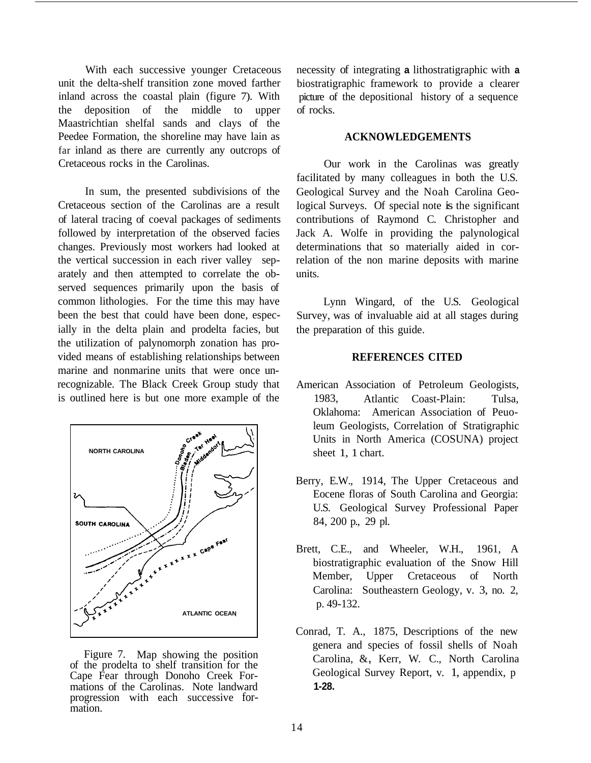With each successive younger Cretaceous unit the delta-shelf transition zone moved farther inland across the coastal plain (figure 7). With the deposition of the middle to upper Maastrichtian shelfal sands and clays of the Peedee Formation, the shoreline may have lain as far inland as there are currently any outcrops of Cretaceous rocks in the Carolinas.

In sum, the presented subdivisions of the Cretaceous section of the Carolinas are a result of lateral tracing of coeval packages of sediments followed by interpretation of the observed facies changes. Previously most workers had looked at the vertical succession in each river valley separately and then attempted to correlate the observed sequences primarily upon the basis of common lithologies. For the time this may have been the best that could have been done, especially in the delta plain and prodelta facies, but the utilization of palynomorph zonation has provided means of establishing relationships between marine and nonmarine units that were once unrecognizable. The Black Creek Group study that is outlined here is but one more example of the



Figure 7. Map showing the position of the prodelta to shelf transition for the Cape Fear through Donoho Creek Formations of the Carolinas. Note landward progression with each successive for- mation.

necessity of integrating **a** lithostratigraphic with **a**  biostratigraphic framework to provide a clearer picture of the depositional history of a sequence of rocks.

## **ACKNOWLEDGEMENTS**

Our work in the Carolinas was greatly facilitated by many colleagues in both the U.S. Geological Survey and the Noah Carolina Geological Surveys. Of special note is the significant contributions of Raymond C. Christopher and Jack A. Wolfe in providing the palynological determinations that so materially aided in correlation of the non marine deposits with marine units.

Lynn Wingard, of the U.S. Geological Survey, was of invaluable aid at all stages during the preparation of this guide.

### **REFERENCES CITED**

- American Association of Petroleum Geologists, 1983, Atlantic Coast-Plain: Tulsa, Oklahoma: American Association of Peuoleum Geologists, Correlation of Stratigraphic Units in North America (COSUNA) project sheet 1, 1 chart.
- Berry, E.W., 1914, The Upper Cretaceous and Eocene floras of South Carolina and Georgia: U.S. Geological Survey Professional Paper 84, 200 p., 29 pl.
- Brett, C.E., and Wheeler, W.H., 1961, A. biostratigraphic evaluation of the Snow Hill Member, Upper Cretaceous of North Carolina: Southeastern Geology, v. 3, no. 2, p. 49-132.
- Conrad, T. A., 1875, Descriptions of the new genera and species of fossil shells of Noah Carolina, &, Kerr, W. C., North Carolina Geological Survey Report, v. 1, appendix, p **1-28.**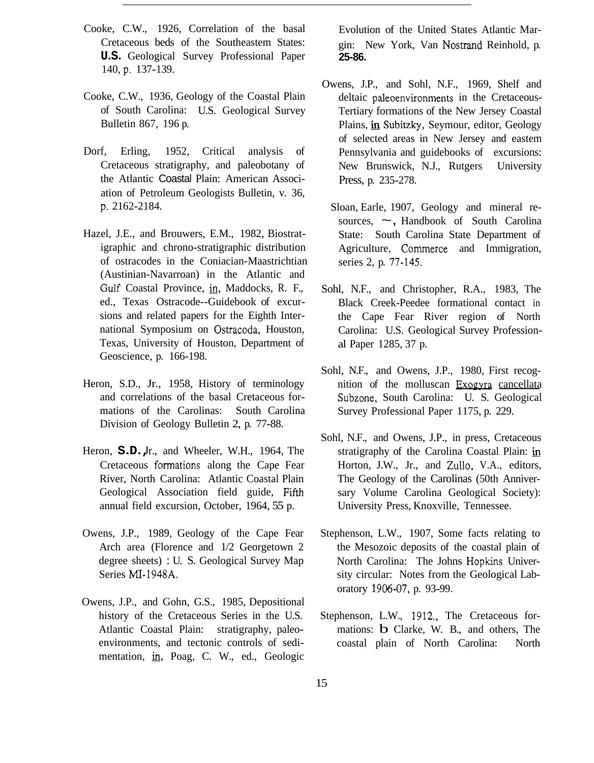- Cooke, C.W., 1926, Correlation of the basal Cretaceous beds of the Southeastem States: **U.S.** Geological Survey Professional Paper 140, p. 137-139.
- Cooke, C.W., 1936, Geology of the Coastal Plain of South Carolina: U.S. Geological Survey Bulletin 867, 196 p.
- Dorf, Erling, 1952, Critical analysis of Cretaceous stratigraphy, and paleobotany of the Atlantic Coastal Plain: American Association of Petroleum Geologists Bulletin, v. 36, p. 2162-2184.
- Hazel, J.E., and Brouwers, E.M., 1982, Biostratigraphic and chrono-stratigraphic distribution of ostracodes in the Coniacian-Maastrichtian (Austinian-Navarroan) in the Atlantic and Gulf Coastal Province, in, Maddocks, R. F., ed., Texas Ostracode--Guidebook of excursions and related papers for the Eighth International Symposium on Ostracoda, Houston, Texas, University of Houston, Department of Geoscience, p. 166-198.
- Heron, S.D., Jr., 1958, History of terminology and correlations of the basal Cretaceous formations of the Carolinas: South Carolina Division of Geology Bulletin 2, p. 77-88.
- Heron, **S.D.** Jr., and Wheeler, W.H., 1964, The Cretaceous formations along the Cape Fear River, North Carolina: Atlantic Coastal Plain Geological Association field guide, FiFth annual field excursion, October, 1964, 55 p.
- Owens, J.P., 1989, Geology of the Cape Fear Arch area (Florence and 1/2 Georgetown 2 degree sheets) : U. S. Geological Survey Map Series MI-1948A.
- Owens, J.P., and Gohn, G.S., 1985, Depositional history of the Cretaceous Series in the U.S. Atlantic Coastal Plain: stratigraphy, paleoenvironments, and tectonic controls of sedimentation, in, Poag, C. W., ed., Geologic

Evolution of the United States Atlantic Margin: New York, Van Nostrand Reinhold, p. **25-86.** 

- Owens, J.P., and Sohl, N.F., 1969, Shelf and deltaic paleoenvironments in the Cretaceous-Tertiary formations of the New Jersey Coastal Plains, in Subitzky, Seymour, editor, Geology of selected areas in New Jersey and eastem Pennsylvania and guidebooks of excursions: New Brunswick, N.J., Rutgers University Press, p. 235-278.
	- Sloan, Earle, 1907, Geology and mineral resources,  $\sim$ , Handbook of South Carolina State: South Carolina State Department of Agriculture, Commerce and Immigration, series 2, p. 77-145.
- Sohl, N.F., and Christopher, R.A., 1983, The Black Creek-Peedee formational contact in the Cape Fear River region of North Carolina: U.S. Geological Survey Professional Paper 1285, 37 p.
- Sohl, N.F., and Owens, J.P., 1980, First recognition of the molluscan Exogyra cancellata Subzone, South Carolina: U. S. Geological Survey Professional Paper 1175, p. 229.
- Sohl, N.F., and Owens, J.P., in press, Cretaceous stratigraphy of the Carolina Coastal Plain:  $\mathbf{in}$ Horton, J.W., Jr., and Zullo, V.A., editors, The Geology of the Carolinas (50th Anniversary Volume Carolina Geological Society): University Press, Knoxville, Tennessee.
- Stephenson, L.W., 1907, Some facts relating to the Mesozoic deposits of the coastal plain of North Carolina: The Johns Hopkins University circular: Notes from the Geological Laboratory 1906-07, p. 93-99.
- Stephenson, L.W., 1912., The Cretaceous formations: b Clarke, W. B., and others, The coastal plain of North Carolina: North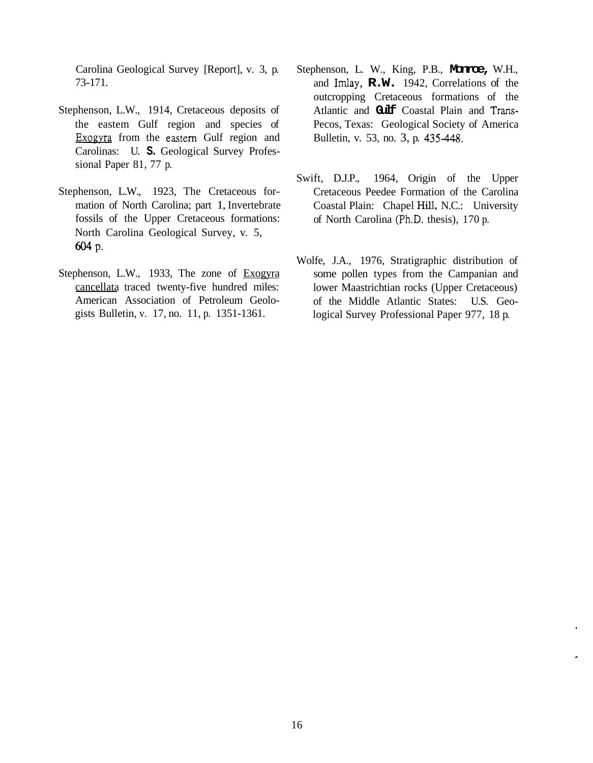Carolina Geological Survey [Report], v. 3, p. 73-171.

- Stephenson, L.W., 1914, Cretaceous deposits of the eastem Gulf region and species of Exogyra from the eastern Gulf region and Carolinas: U. **S.** Geological Survey Professional Paper 81, 77 p.
- Stephenson, L.W., 1923, The Cretaceous formation of North Carolina; part 1, Invertebrate fossils of the Upper Cretaceous formations: North Carolina Geological Survey, v. 5, **604** P.
- Stephenson, L.W., 1933, The zone of Exogyra cancellata traced twenty-five hundred miles: American Association of Petroleum Geologists Bulletin, v. 17, no. 11, p. 1351-1361.
- Stephenson, L. W., King, P.B., **Monroe,** W.H., and Imlay, **R.W.** 1942, Correlations of the outcropping Cretaceous formations of the Atlantic and **Gulf** Coastal Plain and Trans-Pecos, Texas: Geological Society of America Bulletin, v. 53, no. 3, p. 435-448.
- Swift, D.J.P., 1964, Origin of the Upper Cretaceous Peedee Formation of the Carolina Coastal Plain: Chapel **Hill,** N.C.: University of North Carolina (Ph.D. thesis), 170 p.
- Wolfe, J.A., 1976, Stratigraphic distribution of some pollen types from the Campanian and lower Maastrichtian rocks (Upper Cretaceous) of the Middle Atlantic States: U.S. Geological Survey Professional Paper 977, 18 p.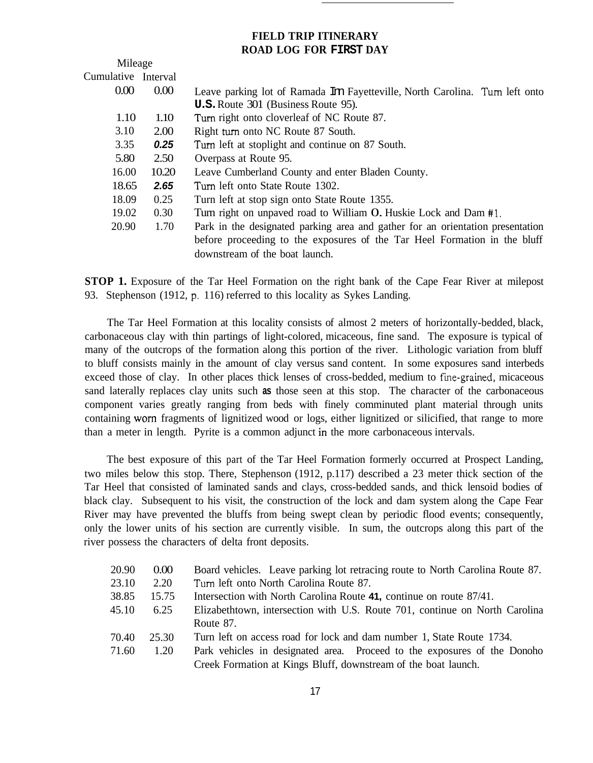## **FIELD TRIP ITINERARY ROAD LOG FOR FIRST DAY**

| Mileage             |       |                                                                                |
|---------------------|-------|--------------------------------------------------------------------------------|
| Cumulative Interval |       |                                                                                |
| 0.00                | 0.00  | Leave parking lot of Ramada Im Fayetteville, North Carolina. Turn left onto    |
|                     |       | <b>U.S.</b> Route 301 (Business Route 95).                                     |
| 1.10                | 1.10  | Turn right onto cloverleaf of NC Route 87.                                     |
| 3.10                | 2.00  | Right turn onto NC Route 87 South.                                             |
| 3.35                | 0.25  | Turn left at stoplight and continue on 87 South.                               |
| 5.80                | 2.50  | Overpass at Route 95.                                                          |
| 16.00               | 10.20 | Leave Cumberland County and enter Bladen County.                               |
| 18.65               | 2.65  | Turn left onto State Route 1302.                                               |
| 18.09               | 0.25  | Turn left at stop sign onto State Route 1355.                                  |
| 19.02               | 0.30  | Turn right on unpaved road to William O. Huskie Lock and Dam #1.               |
| 20.90               | 1.70  | Park in the designated parking area and gather for an orientation presentation |
|                     |       | before proceeding to the exposures of the Tar Heel Formation in the bluff      |
|                     |       | downstream of the boat launch.                                                 |

**STOP 1.** Exposure of the Tar Heel Formation on the right bank of the Cape Fear River at milepost 93. Stephenson (1912, p. 116) referred to this locality as Sykes Landing.

The Tar Heel Formation at this locality consists of almost 2 meters of horizontally-bedded, black, carbonaceous clay with thin partings of light-colored, micaceous, fine sand. The exposure is typical of many of the outcrops of the formation along this portion of the river. Lithologic variation from bluff to bluff consists mainly in the amount of clay versus sand content. In some exposures sand interbeds exceed those of clay. In other places thick lenses of cross-bedded, medium to fine-grained, micaceous sand laterally replaces clay units such **as** those seen at this stop. The character of the carbonaceous component varies greatly ranging from beds with finely comminuted plant material through units containing worn fragments of lignitized wood or logs, either lignitized or silicified, that range to more than a meter in length. Pyrite is a common adjunct in the more carbonaceous intervals.

The best exposure of this part of the Tar Heel Formation formerly occurred at Prospect Landing, two miles below this stop. There, Stephenson (1912, p.117) described a 23 meter thick section of the Tar Heel that consisted of laminated sands and clays, cross-bedded sands, and thick lensoid bodies of black clay. Subsequent to his visit, the construction of the lock and dam system along the Cape Fear River may have prevented the bluffs from being swept clean by periodic flood events; consequently, only the lower units of his section are currently visible. In sum, the outcrops along this part of the river possess the characters of delta front deposits.

| 20.90 | 0.00 <sub>1</sub> | Board vehicles. Leave parking lot retracing route to North Carolina Route 87.                                                              |
|-------|-------------------|--------------------------------------------------------------------------------------------------------------------------------------------|
| 23.10 | 2.20              | Turn left onto North Carolina Route 87.                                                                                                    |
| 38.85 | 15.75             | Intersection with North Carolina Route 41, continue on route 87/41.                                                                        |
| 45.10 | 6.25              | Elizabethtown, intersection with U.S. Route 701, continue on North Carolina                                                                |
|       |                   | Route 87.                                                                                                                                  |
| 70.40 | 25.30             | Turn left on access road for lock and dam number 1, State Route 1734.                                                                      |
| 71.60 | 1.20              | Park vehicles in designated area. Proceed to the exposures of the Donoho<br>Creek Formation at Kings Bluff, downstream of the boat launch. |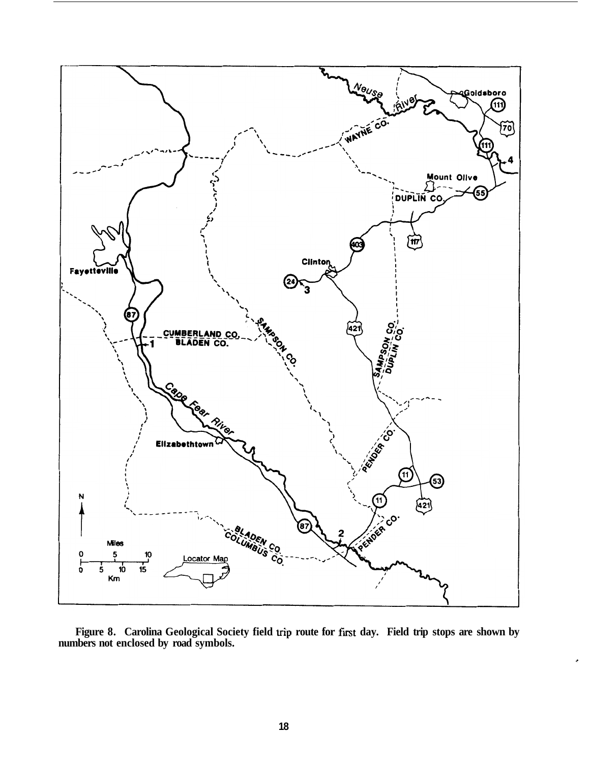

**Figure 8. Carolina Geological Society field trip route for** first **day. Field trip stops are shown by numbers not enclosed by road symbols.** 

*c*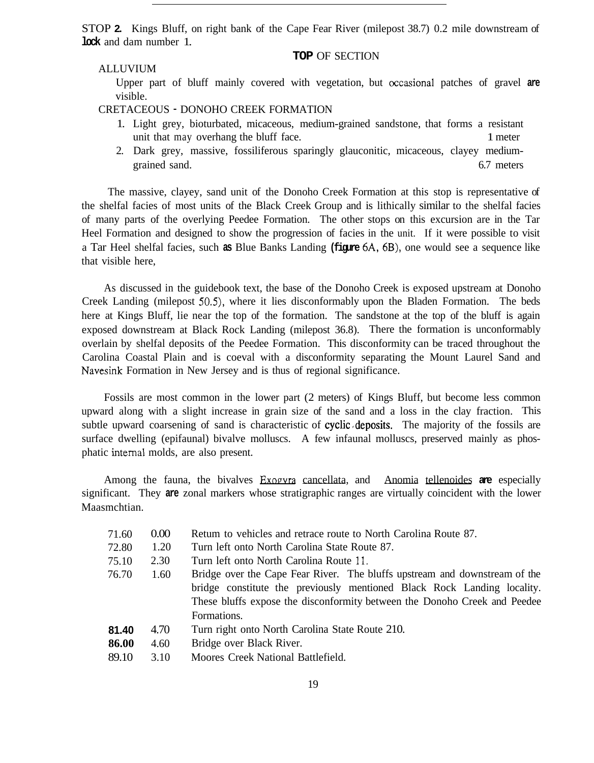STOP **2.** Kings Bluff, on right bank of the Cape Fear River (milepost 38.7) 0.2 mile downstream of **lock** and dam number 1.

**TOP** OF SECTION

## ALLUVIUM

Upper part of bluff mainly covered with vegetation, but occasional patches of gravel **are**  visible.

CRETACEOUS - DONOHO CREEK FORMATION

- 1. Light grey, bioturbated, micaceous, medium-grained sandstone, that forms a resistant unit that may overhang the bluff face. 1 meter
- 2. Dark grey, massive, fossiliferous sparingly glauconitic, micaceous, clayey mediumgrained sand. 6.7 meters and  $\sim$  6.7 meters and  $\sim$  6.7 meters and  $\sim$  6.7 meters and  $\sim$  6.7 meters and  $\sim$  6.7 meters and  $\sim$  6.7 meters and  $\sim$  6.7 meters and  $\sim$  6.7 meters and  $\sim$  6.7 meters and  $\sim$  6.7 mete

The massive, clayey, sand unit of the Donoho Creek Formation at this stop is representative of the shelfal facies of most units of the Black Creek Group and is lithically similar to the shelfal facies of many parts of the overlying Peedee Formation. The other stops on this excursion are in the Tar Heel Formation and designed to show the progression of facies in the unit. If it were possible to visit a Tar Heel shelfal facies, such **as** Blue Banks Landing **(figure** 6A, 6B), one would see a sequence like that visible here,

As discussed in the guidebook text, the base of the Donoho Creek is exposed upstream at Donoho Creek Landing (milepost *50.5),* where it lies disconformably upon the Bladen Formation. The beds here at Kings Bluff, lie near the top of the formation. The sandstone at the top of the bluff is again exposed downstream at Black Rock Landing (milepost 36.8). There the formation is unconformably overlain by shelfal deposits of the Peedee Formation. This disconformity can be traced throughout the Carolina Coastal Plain and is coeval with a disconformity separating the Mount Laurel Sand and Navesink Formation in New Jersey and is thus of regional significance.

Fossils are most common in the lower part (2 meters) of Kings Bluff, but become less common upward along with a slight increase in grain size of the sand and a loss in the clay fraction. This subtle upward coarsening of sand is characteristic of cyclic, deposits. The majority of the fossils are surface dwelling (epifaunal) bivalve molluscs. A few infaunal molluscs, preserved mainly as phosphatic intemal molds, are also present.

Among the fauna, the bivalves Exogvra cancellata, and Anomia tellenoides **are** especially significant. They **are** zonal markers whose stratigraphic ranges are virtually coincident with the lower Maasmchtian.

| 71.60 | 0.00 | Retum to vehicles and retrace route to North Carolina Route 87.            |
|-------|------|----------------------------------------------------------------------------|
| 72.80 | 1.20 | Turn left onto North Carolina State Route 87.                              |
| 75.10 | 2.30 | Turn left onto North Carolina Route 11.                                    |
| 76.70 | 1.60 | Bridge over the Cape Fear River. The bluffs upstream and downstream of the |
|       |      | bridge constitute the previously mentioned Black Rock Landing locality.    |
|       |      | These bluffs expose the disconformity between the Donoho Creek and Peedee  |
|       |      | Formations.                                                                |
| 81.40 | 4.70 | Turn right onto North Carolina State Route 210.                            |
| 86.00 | 4.60 | Bridge over Black River.                                                   |
| 89.10 | 3.10 | Moores Creek National Battlefield.                                         |
|       |      |                                                                            |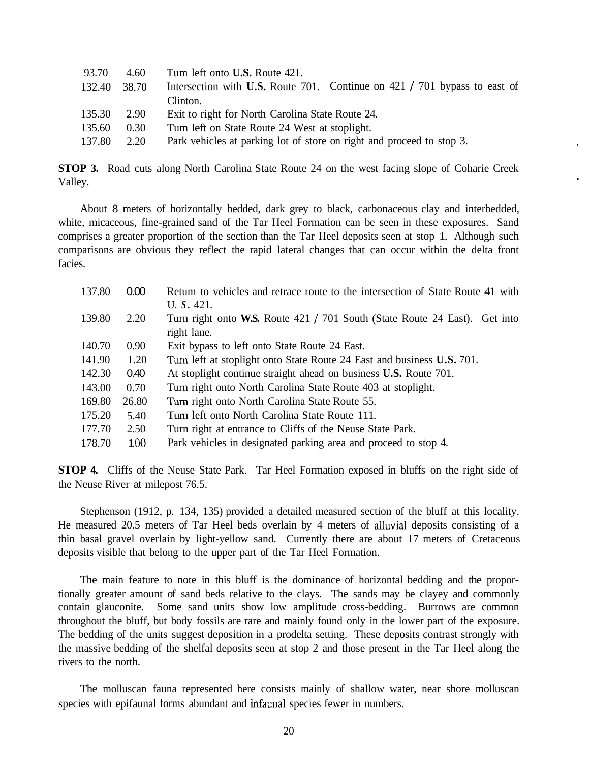| 93.70  | 4.60              | Tum left onto <b>U.S.</b> Route 421.                                      |
|--------|-------------------|---------------------------------------------------------------------------|
| 132.40 | 38.70             | Intersection with U.S. Route 701. Continue on 421 / 701 bypass to east of |
|        |                   | Clinton.                                                                  |
| 135.30 | 2.90              | Exit to right for North Carolina State Route 24.                          |
| 135.60 | 0.30 <sub>1</sub> | Tum left on State Route 24 West at stoplight.                             |
| 137.80 | 2.20              | Park vehicles at parking lot of store on right and proceed to stop 3.     |
|        |                   |                                                                           |

**STOP 3.** Road cuts along North Carolina State Route 24 on the west facing slope of Coharie Creek Valley.

About 8 meters of horizontally bedded, dark grey to black, carbonaceous clay and interbedded, white, micaceous, fine-grained sand of the Tar Heel Formation can be seen in these exposures. Sand comprises a greater proportion of the section than the Tar Heel deposits seen at stop 1. Although such comparisons are obvious they reflect the rapid lateral changes that can occur within the delta front facies.

| 137.80 | 0.00              | Retum to vehicles and retrace route to the intersection of State Route 41 with |
|--------|-------------------|--------------------------------------------------------------------------------|
|        |                   | U.S. 421.                                                                      |
| 139.80 | 2.20              | Turn right onto W.S. Route 421 / 701 South (State Route 24 East). Get into     |
|        |                   | right lane.                                                                    |
| 140.70 | 0.90 <sub>1</sub> | Exit bypass to left onto State Route 24 East.                                  |
| 141.90 | 1.20              | Turn left at stoplight onto State Route 24 East and business U.S. 701.         |
| 142.30 | 0.40              | At stoplight continue straight ahead on business <b>U.S.</b> Route 701.        |
| 143.00 | 0.70              | Turn right onto North Carolina State Route 403 at stoplight.                   |
| 169.80 | 26.80             | Turn right onto North Carolina State Route 55.                                 |
| 175.20 | 5.40              | Turn left onto North Carolina State Route 111.                                 |
| 177.70 | 2.50              | Turn right at entrance to Cliffs of the Neuse State Park.                      |
| 178.70 | 1.00              | Park vehicles in designated parking area and proceed to stop 4.                |

**STOP 4.** Cliffs of the Neuse State Park. Tar Heel Formation exposed in bluffs on the right side of the Neuse River at milepost 76.5.

Stephenson (1912, p. 134, 135) provided a detailed measured section of the bluff at this locality. He measured 20.5 meters of Tar Heel beds overlain by 4 meters of alluvial deposits consisting of a thin basal gravel overlain by light-yellow sand. Currently there are about 17 meters of Cretaceous deposits visible that belong to the upper part of the Tar Heel Formation.

The main feature to note in this bluff is the dominance of horizontal bedding and the proportionally greater amount of sand beds relative to the clays. The sands may be clayey and commonly contain glauconite. Some sand units show low amplitude cross-bedding. Burrows are common throughout the bluff, but body fossils are rare and mainly found only in the lower part of the exposure. The bedding of the units suggest deposition in a prodelta setting. These deposits contrast strongly with the massive bedding of the shelfal deposits seen at stop 2 and those present in the Tar Heel along the rivers to the north.

The molluscan fauna represented here consists mainly of shallow water, near shore molluscan species with epifaunal forms abundant and infaunal species fewer in numbers.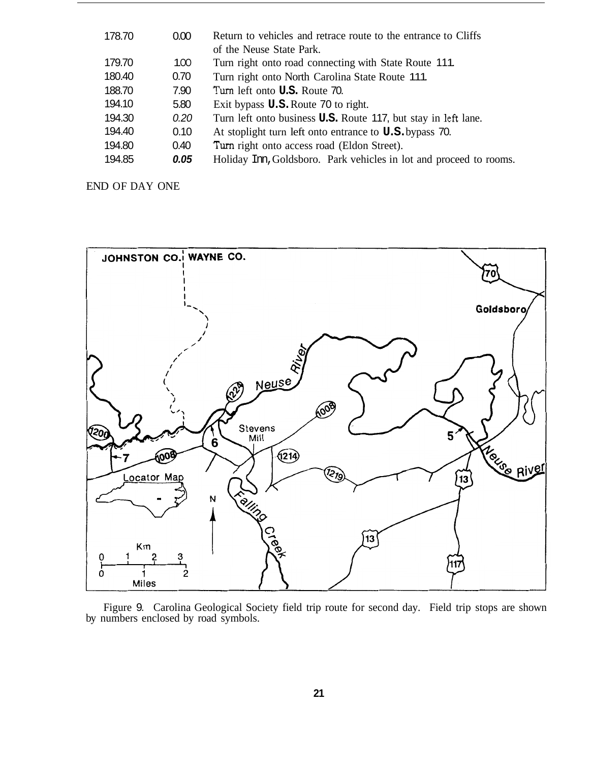| 178.70 | 0.00             | Return to vehicles and retrace route to the entrance to Cliffs<br>of the Neuse State Park. |
|--------|------------------|--------------------------------------------------------------------------------------------|
| 179.70 | 100 <sub>o</sub> | Turn right onto road connecting with State Route 111.                                      |
| 180.40 | 0.70             | Turn right onto North Carolina State Route 111.                                            |
| 188.70 | 7.90             | Turn left onto <b>U.S.</b> Route 70.                                                       |
| 194.10 | 5.80             | Exit bypass <b>U.S.</b> Route 70 to right.                                                 |
| 194.30 | 0.20             | Turn left onto business <b>U.S.</b> Route 117, but stay in left lane.                      |
| 194.40 | 0.10             | At stoplight turn left onto entrance to <b>U.S.</b> bypass 70.                             |
| 194.80 | 0.40             | Turn right onto access road (Eldon Street).                                                |
| 194.85 | 0.05             | Holiday Irm, Goldsboro. Park vehicles in lot and proceed to rooms.                         |

END OF DAY ONE



Figure 9. Carolina Geological Society field trip route for second day. Field trip stops are shown by numbers enclosed by road symbols.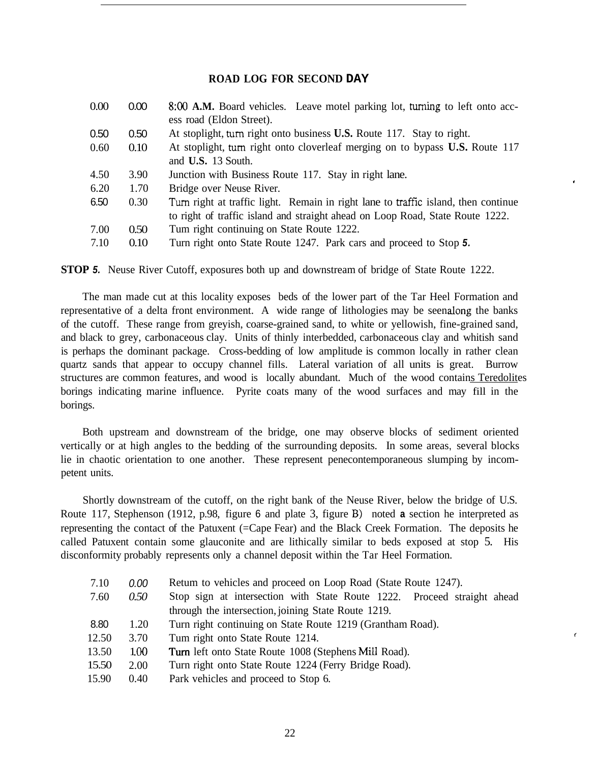## **ROAD LOG FOR SECOND DAY**

| 0.00 | 0.00              | 8:00 A.M. Board vehicles. Leave motel parking lot, turning to left onto acc-       |
|------|-------------------|------------------------------------------------------------------------------------|
|      |                   | ess road (Eldon Street).                                                           |
| 0.50 | 0.50 <sub>1</sub> | At stoplight, turn right onto business <b>U.S.</b> Route 117. Stay to right.       |
| 0.60 | 0.10              | At stoplight, turn right onto cloverleaf merging on to bypass U.S. Route 117       |
|      |                   | and U.S. 13 South.                                                                 |
| 4.50 | 3.90              | Junction with Business Route 117. Stay in right lane.                              |
| 6.20 | 1.70              | Bridge over Neuse River.                                                           |
| 6.50 | 0.30              | Turn right at traffic light. Remain in right lane to traffic island, then continue |
|      |                   | to right of traffic island and straight ahead on Loop Road, State Route 1222.      |
| 7.00 | 0.50              | Tum right continuing on State Route 1222.                                          |
| 7.10 | 0.10              | Turn right onto State Route 1247. Park cars and proceed to Stop 5.                 |

**STOP** *5.* Neuse River Cutoff, exposures both up and downstream of bridge of State Route 1222.

The man made cut at this locality exposes beds of the lower part of the Tar Heel Formation and representative of a delta front environment. A wide range of lithologies may be seen along the banks of the cutoff. These range from greyish, coarse-grained sand, to white or yellowish, fine-grained sand, and black to grey, carbonaceous clay. Units of thinly interbedded, carbonaceous clay and whitish sand is perhaps the dominant package. Cross-bedding of low amplitude is common locally in rather clean quartz sands that appear to occupy channel fills. Lateral variation of all units is great. Burrow structures are common features, and wood is locally abundant. Much of the wood contains Teredolites borings indicating marine influence. Pyrite coats many of the wood surfaces and may fill in the borings.

Both upstream and downstream of the bridge, one may observe blocks of sediment oriented vertically or at high angles to the bedding of the surrounding deposits. In some areas, several blocks lie in chaotic orientation to one another. These represent penecontemporaneous slumping by incompetent units.

Shortly downstream of the cutoff, on the right bank of the Neuse River, below the bridge of U.S. Route 117, Stephenson (1912, p.98, figure 6 and plate 3, figure B) noted **a** section he interpreted as representing the contact of the Patuxent (=Cape Fear) and the Black Creek Formation. The deposits he called Patuxent contain some glauconite and are lithically similar to beds exposed at stop 5. His disconformity probably represents only a channel deposit within the Tar Heel Formation.

| 7.10  | 0.00 | Retum to vehicles and proceed on Loop Road (State Route 1247).          |
|-------|------|-------------------------------------------------------------------------|
| 7.60  | 0.50 | Stop sign at intersection with State Route 1222. Proceed straight ahead |
|       |      | through the intersection, joining State Route 1219.                     |
| 8.80  | 1.20 | Turn right continuing on State Route 1219 (Grantham Road).              |
| 12.50 | 3.70 | Tum right onto State Route 1214.                                        |
| 13.50 | 1.00 | <b>Turn</b> left onto State Route 1008 (Stephens Mill Road).            |
| 15.50 | 2.00 | Turn right onto State Route 1224 (Ferry Bridge Road).                   |
| 15.90 | 0.40 | Park vehicles and proceed to Stop 6.                                    |
|       |      |                                                                         |